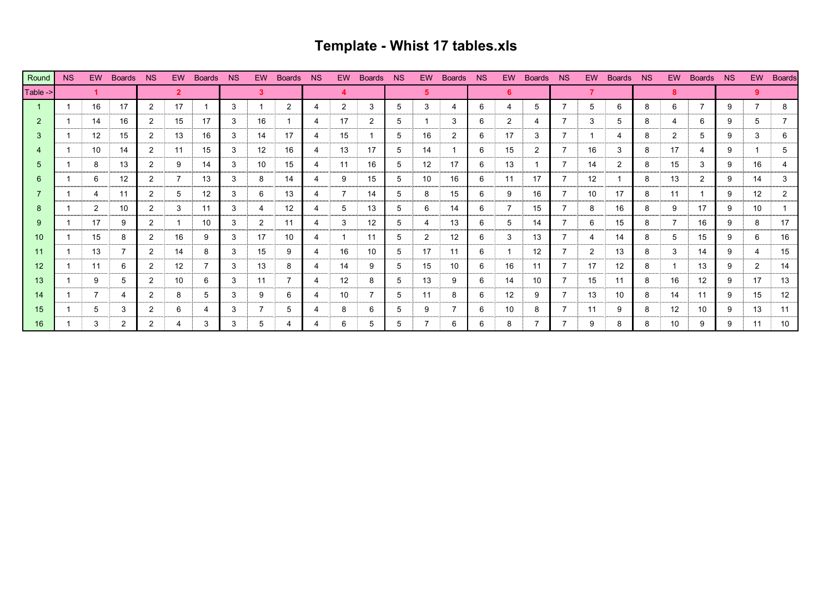## **Template - Whist 17 tables.xls**

| Round         | <b>NS</b> | <b>EW</b>      | <b>Boards</b> | <b>NS</b>      | EW.               | <b>Boards</b> | NS | EW. | <b>Boards</b> | <b>NS</b> | EW.            | <b>Boards</b> | <b>NS</b> | EW.               | <b>Boards</b> | <b>NS</b> | EW.               | <b>Boards</b> | <b>NS</b> | <b>EW</b>      | Boards NS      |   | EW                   | Boards NS |   | EW. | <b>Boards</b> |
|---------------|-----------|----------------|---------------|----------------|-------------------|---------------|----|-----|---------------|-----------|----------------|---------------|-----------|-------------------|---------------|-----------|-------------------|---------------|-----------|----------------|----------------|---|----------------------|-----------|---|-----|---------------|
| Table ->      |           |                |               |                | $\overline{2}$    |               |    | 3   |               |           |                |               |           | 5.                |               |           | 6.                |               |           |                |                |   | 8                    |           |   | 9.  |               |
|               |           | 16             | 17            | 2              | 17                |               | 3  |     | 2             | 4         | 2              | 3             | 5         | 3                 | 4             | 6         | 4                 | 5             |           | 5              | 6              | 8 | 6                    |           | 9 |     | 8             |
| $\mathcal{P}$ |           | 14             | 16            | 2              | 15                | 17            | 3  | 16  |               | 4         | 17             | 2             | 5         |                   | 3             | 6         | 2                 | 4             |           | 3              | 5              | 8 | 4                    | 6         | 9 | 5   |               |
| 3             |           | 12             | 15            | 2              | 13                | 16            | 3  | 14  | 17            | 4         | 15             |               | 5         | 16                | 2             | 6         | 17                | 3             | 7         |                | 4              | 8 | $\mathbf{2}^{\circ}$ | 5         | 9 | 3   | 6             |
|               |           | 10             | 14            | 2              | 11                | 15            | 3  | 12  | 16            | 4         | 13             | 17            | 5         | 14                |               | 6         | 15                | 2             | 7         | 16             | 3              | 8 | 17                   | -4        | 9 |     | 5             |
| 5             |           | 8              | 13            | $\overline{2}$ | 9                 | 14            | 3  | 10  | 15            | 4         | 11             | 16            | 5         | $12 \overline{ }$ | 17            | 6         | 13                |               | 7         | 14             | $\overline{2}$ | 8 | 15                   | 3         | 9 | 16  |               |
| 6             |           | 6              | 12            | $\overline{2}$ | $\overline{7}$    | 13            | 3  | 8   | 14            | 4         | 9              | 15            | 5         | 10                | 16            | 6         | 11                | 17            |           | 12             |                | 8 | 13                   | 2         | 9 | 14  | 3             |
|               |           | 4              | 11            | $\overline{2}$ | 5                 | 12            | 3  | 6   | 13            | 4         | $\overline{7}$ | 14            | 5         | 8                 | 15            | 6         | 9                 | 16            | 7         | 10             | 17             | 8 | 11                   |           | 9 | 12  |               |
| 8             |           | $\overline{2}$ | 10            | $\overline{2}$ | 3                 | 11            | 3  | 4   | 12            | 4         | 5              | 13            | 5         | 6                 | 14            | 6         |                   | 15            |           | 8              | 16             | 8 | 9                    | 17        | 9 | 10  |               |
| 9             |           | 17             | 9             | $\overline{2}$ |                   | 10            | 3  | 2   | 11            | 4         | 3              | 12            | 5         | 4                 | 13            | 6         | 5                 | 14            | 7         | 6              | 15             | 8 |                      | 16        | 9 | 8   | 17            |
| 10            |           | 15             | 8             | $\mathcal{P}$  | 16                | 9             | 3  | 17  | 10            | 4         |                | 11            | 5         | $\overline{2}$    | 12            | 6         | 3                 | 13            |           | 4              | 14             | 8 | 5                    | 15        | 9 | 6   | 16            |
| 11            |           | 13             |               | 2              | 14                | 8             | 3  | 15  | 9             | 4         | 16             | 10            | 5         | 17                | 11            | 6         |                   | 12            |           | $\overline{2}$ | 13             | 8 | 3                    | 14        | 9 | 4   | 15            |
| 12            |           | 11             | 6             | 2              | $12 \overline{ }$ |               | 3  | 13  | 8             | 4         | 14             | 9             | 5         | 15                | 10            | 6         | 16                | 11            |           | 17             | 12             | 8 |                      | 13        | 9 | 2   | 14            |
| 13            |           | 9              | 5             | $\overline{2}$ | 10                | 6             | 3  | 11  |               | 4         | 12             | 8             | 5         | 13                | 9             | 6         | 14                | 10            |           | 15             | 11             | 8 | 16                   | 12        | 9 | 17  | 13            |
| 14            |           | 7              |               | $\overline{2}$ | 8                 | 5             | 3  | 9   | 6             | 4         | 10             |               | 5         | 11                | 8             | 6         | $12 \overline{ }$ | 9             | 7         | 13             | 10             | 8 | 14                   | 11        | 9 | 15  | 12            |
| 15            |           | 5              | 3             | 2              | 6                 | 4             | 3  |     | 5             | 4         | 8              | 6             | 5         | 9                 |               | 6         | 10                | 8             |           | 11             | 9              | 8 | 12                   | 10        | 9 | 13  | 11            |
| 16            |           | 3              | 2             | 2              | 4                 | 3             | 3  | 5   | 4             | 4         | 6              | 5             | 5         |                   | 6             | 6         | 8                 |               |           | 9              | 8              | 8 | 10                   | 9         | 9 | 11  | 10            |